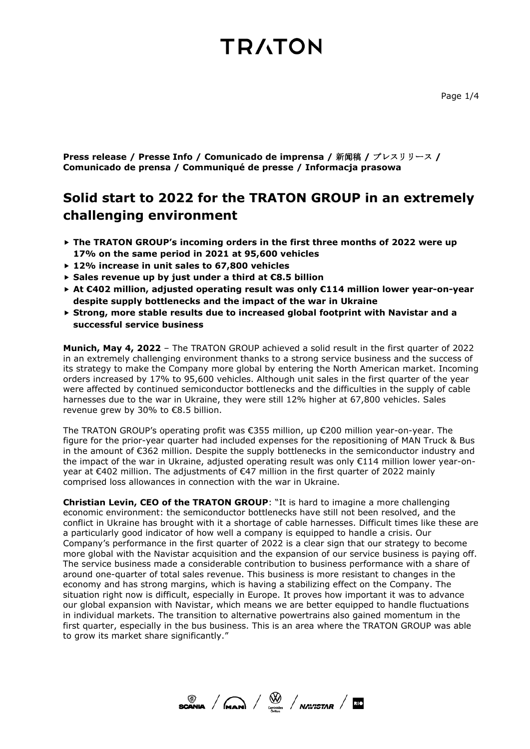**Press release / Presse Info / Comunicado de imprensa /** 新闻稿 **/** プレスリリース **/ Comunicado de prensa / Communiqué de presse / Informacja prasowa**

### **Solid start to 2022 for the TRATON GROUP in an extremely challenging environment**

- **The TRATON GROUP's incoming orders in the first three months of 2022 were up 17% on the same period in 2021 at 95,600 vehicles**
- **12% increase in unit sales to 67,800 vehicles**
- **Sales revenue up by just under a third at €8.5 billion**
- **At €402 million, adjusted operating result was only €114 million lower year-on-year despite supply bottlenecks and the impact of the war in Ukraine**
- **Strong, more stable results due to increased global footprint with Navistar and a successful service business**

**Munich, May 4, 2022** – The TRATON GROUP achieved a solid result in the first quarter of 2022 in an extremely challenging environment thanks to a strong service business and the success of its strategy to make the Company more global by entering the North American market. Incoming orders increased by 17% to 95,600 vehicles. Although unit sales in the first quarter of the year were affected by continued semiconductor bottlenecks and the difficulties in the supply of cable harnesses due to the war in Ukraine, they were still 12% higher at 67,800 vehicles. Sales revenue grew by 30% to €8.5 billion.

The TRATON GROUP's operating profit was €355 million, up €200 million year-on-year. The figure for the prior-year quarter had included expenses for the repositioning of MAN Truck & Bus in the amount of €362 million. Despite the supply bottlenecks in the semiconductor industry and the impact of the war in Ukraine, adjusted operating result was only €114 million lower year-onyear at €402 million. The adjustments of €47 million in the first quarter of 2022 mainly comprised loss allowances in connection with the war in Ukraine.

**Christian Levin, CEO of the TRATON GROUP:** "It is hard to imagine a more challenging economic environment: the semiconductor bottlenecks have still not been resolved, and the conflict in Ukraine has brought with it a shortage of cable harnesses. Difficult times like these are a particularly good indicator of how well a company is equipped to handle a crisis. Our Company's performance in the first quarter of 2022 is a clear sign that our strategy to become more global with the Navistar acquisition and the expansion of our service business is paying off. The service business made a considerable contribution to business performance with a share of around one-quarter of total sales revenue. This business is more resistant to changes in the economy and has strong margins, which is having a stabilizing effect on the Company. The situation right now is difficult, especially in Europe. It proves how important it was to advance our global expansion with Navistar, which means we are better equipped to handle fluctuations in individual markets. The transition to alternative powertrains also gained momentum in the first quarter, especially in the bus business. This is an area where the TRATON GROUP was able to grow its market share significantly."

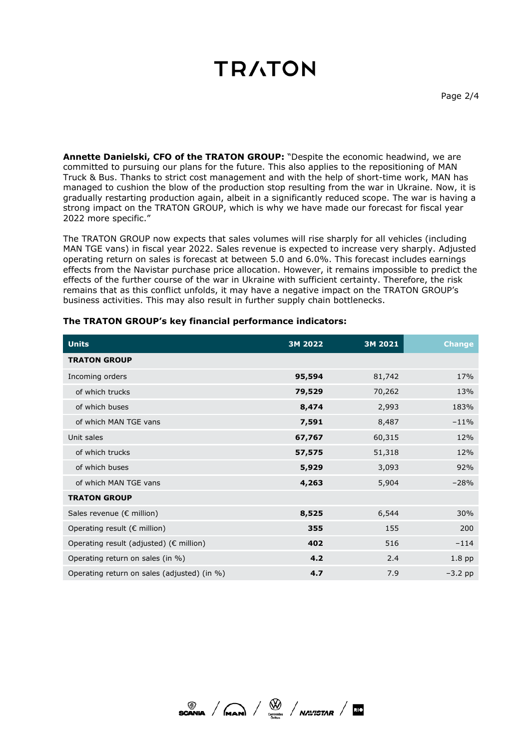**Annette Danielski, CFO of the TRATON GROUP:** "Despite the economic headwind, we are committed to pursuing our plans for the future. This also applies to the repositioning of MAN Truck & Bus. Thanks to strict cost management and with the help of short-time work, MAN has managed to cushion the blow of the production stop resulting from the war in Ukraine. Now, it is gradually restarting production again, albeit in a significantly reduced scope. The war is having a strong impact on the TRATON GROUP, which is why we have made our forecast for fiscal year 2022 more specific."

The TRATON GROUP now expects that sales volumes will rise sharply for all vehicles (including MAN TGE vans) in fiscal year 2022. Sales revenue is expected to increase very sharply. Adjusted operating return on sales is forecast at between 5.0 and 6.0%. This forecast includes earnings effects from the Navistar purchase price allocation. However, it remains impossible to predict the effects of the further course of the war in Ukraine with sufficient certainty. Therefore, the risk remains that as this conflict unfolds, it may have a negative impact on the TRATON GROUP's business activities. This may also result in further supply chain bottlenecks.

| <b>Units</b>                                      | 3M 2022 | 3M 2021 | <b>Change</b> |
|---------------------------------------------------|---------|---------|---------------|
| <b>TRATON GROUP</b>                               |         |         |               |
| Incoming orders                                   | 95,594  | 81,742  | 17%           |
| of which trucks                                   | 79,529  | 70,262  | 13%           |
| of which buses                                    | 8,474   | 2,993   | 183%          |
| of which MAN TGE vans                             | 7,591   | 8,487   | $-11%$        |
| Unit sales                                        | 67,767  | 60,315  | 12%           |
| of which trucks                                   | 57,575  | 51,318  | 12%           |
| of which buses                                    | 5,929   | 3,093   | 92%           |
| of which MAN TGE vans                             | 4,263   | 5,904   | $-28%$        |
| <b>TRATON GROUP</b>                               |         |         |               |
| Sales revenue (€ million)                         | 8,525   | 6,544   | 30%           |
| Operating result ( $\epsilon$ million)            | 355     | 155     | 200           |
| Operating result (adjusted) ( $\epsilon$ million) | 402     | 516     | $-114$        |
| Operating return on sales (in %)                  | 4.2     | 2.4     | $1.8$ pp      |
| Operating return on sales (adjusted) (in %)       | 4.7     | 7.9     | $-3.2$ pp     |

#### **The TRATON GROUP's key financial performance indicators:**

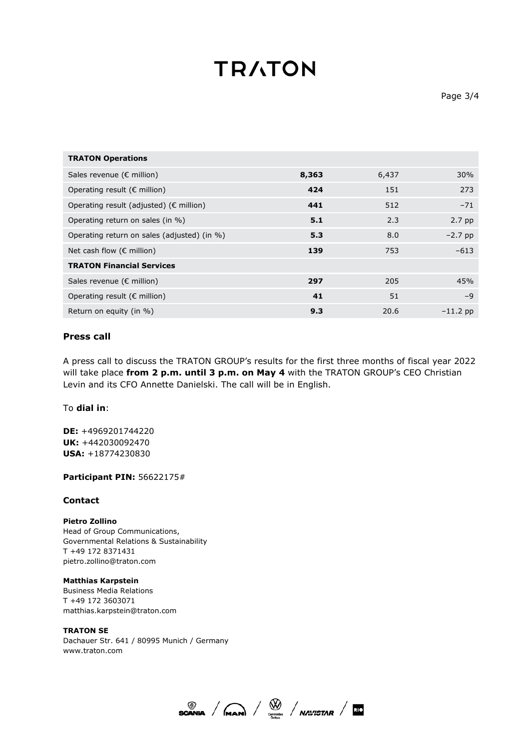| <b>TRATON Operations</b>                          |       |       |            |
|---------------------------------------------------|-------|-------|------------|
| Sales revenue ( $\epsilon$ million)               | 8,363 | 6,437 | 30%        |
| Operating result ( $\epsilon$ million)            | 424   | 151   | 273        |
| Operating result (adjusted) ( $\epsilon$ million) | 441   | 512   | $-71$      |
| Operating return on sales (in %)                  | 5.1   | 2.3   | $2.7$ pp   |
| Operating return on sales (adjusted) (in %)       | 5.3   | 8.0   | $-2.7$ pp  |
| Net cash flow ( $\epsilon$ million)               | 139   | 753   | $-613$     |
| <b>TRATON Financial Services</b>                  |       |       |            |
| Sales revenue ( $\epsilon$ million)               | 297   | 205   | 45%        |
| Operating result ( $\epsilon$ million)            | 41    | 51    | -9         |
| Return on equity (in %)                           | 9.3   | 20.6  | $-11.2$ pp |

#### **Press call**

A press call to discuss the TRATON GROUP's results for the first three months of fiscal year 2022 will take place **from 2 p.m. until 3 p.m. on May 4** with the TRATON GROUP's CEO Christian Levin and its CFO Annette Danielski. The call will be in English.

#### To **dial in**:

**DE:** +4969201744220 **UK:** +442030092470 **USA:** +18774230830

#### **Participant PIN:** 56622175#

#### **Contact**

**Pietro Zollino** Head of Group Communications, Governmental Relations & Sustainability T +49 172 8371431 pietro.zollino@traton.com

**Matthias Karpstein**  Business Media Relations T +49 172 3603071

matthias.karpstein@traton.com

**TRATON SE**  Dachauer Str. 641 / 80995 Munich / Germany www.traton.com